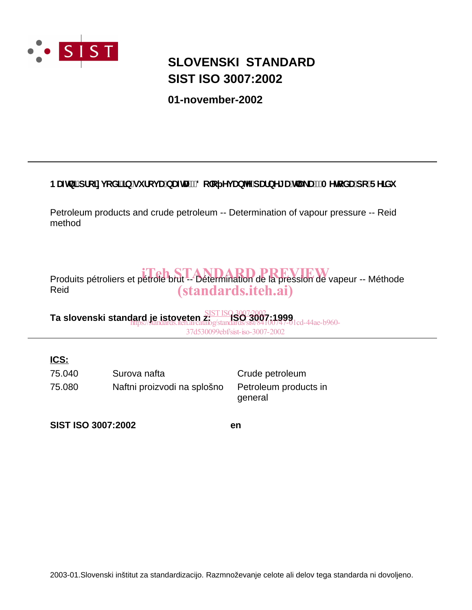

# **SIST ISO 3007:2002 SLOVENSKI STANDARD**

**01-november-2002**

# BUZb]'dfc]njcX]']b'gi fcjUbUZtU!'8c`c YjUb^Y'dUfbY[UhU\_U!'AYrcXU'dc'FY]Xi

Petroleum products and crude petroleum -- Determination of vapour pressure -- Reid method

Produits pétroliers et pétrole brut -- Détermination de la préssion de vapeur -- Méthode Reid (standards.iteh.ai)

**Ta slovenski standard je istoveten z: ISO 3007:1999** SIST ISO 3007:2002 https://standards.iteh.ai/catalog/standards/sist/84100747-01cd-44ae-b960- 37d530099ebf/sist-iso-3007-2002

# **ICS:**

75.080 Naftni proizvodi na splošno Petroleum products in 75.040 Surova nafta Crude petroleum

general

**SIST ISO 3007:2002 en**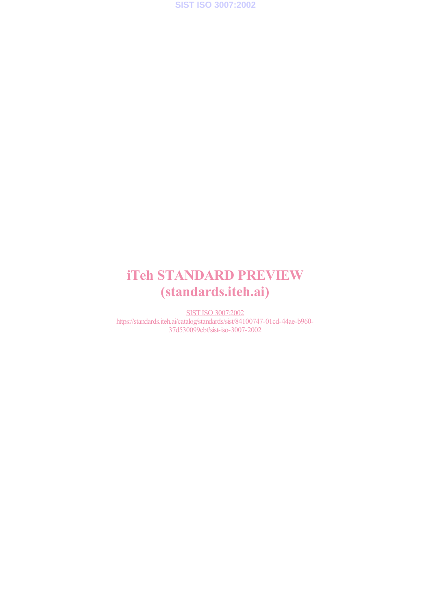

# iTeh STANDARD PREVIEW (standards.iteh.ai)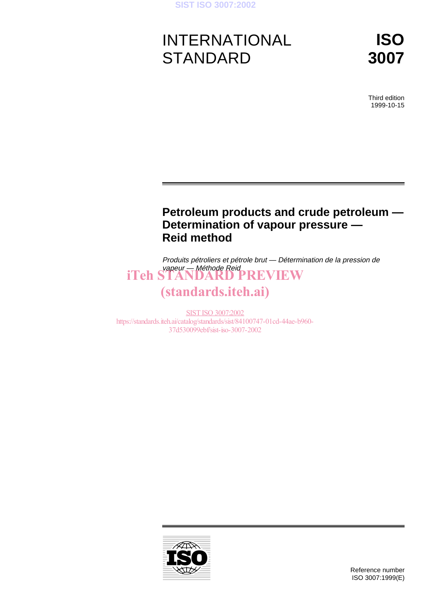

# INTERNATIONAL **STANDARD**

**ISO 3007**

Third edition 1999-10-15

# **Petroleum products and crude petroleum — Determination of vapour pressure — Reid method**

Produits pétroliers et pétrole brut — Détermination de la pression de vapeur — Méthode Reid iTeh STANDARD PREVIEW

# (standards.iteh.ai)

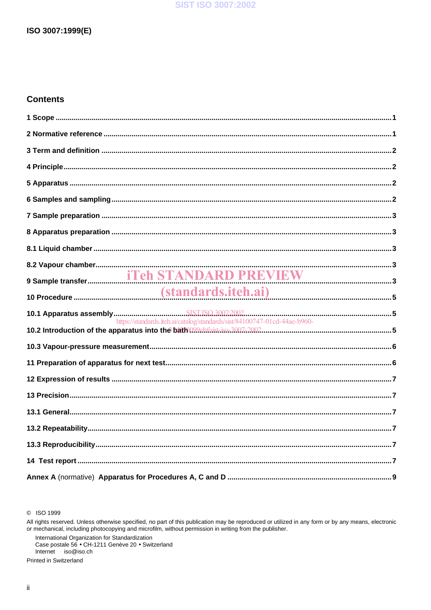### **SIST ISO 3007:2002**

# **Contents**

| https://standards.iteh.ai/catalog/standards/sist/84100747-01cd-44ae-b960- |  |
|---------------------------------------------------------------------------|--|
|                                                                           |  |
|                                                                           |  |
|                                                                           |  |
|                                                                           |  |
|                                                                           |  |
|                                                                           |  |
|                                                                           |  |
|                                                                           |  |
|                                                                           |  |

C ISO 1999

International Organization for Standardization<br>Case postale 56 • CH-1211 Genève 20 • Switzerland Internet iso@iso.ch

Printed in Switzerland

All rights reserved. Unless otherwise specified, no part of this publication may be reproduced or utilized in any form or by any means, electronic or mechanical, including photocopying and microfilm, without permission in writing from the publisher.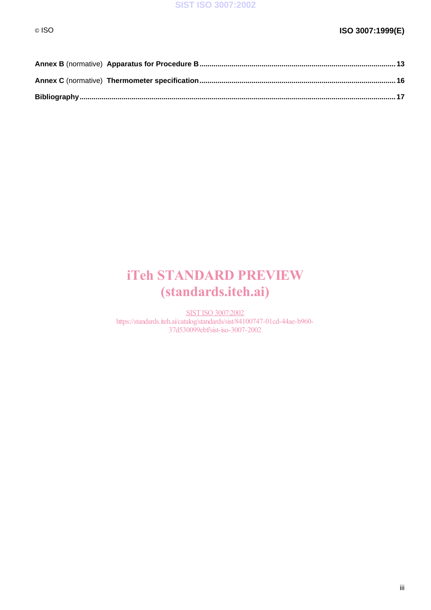# iTeh STANDARD PREVIEW (standards.iteh.ai)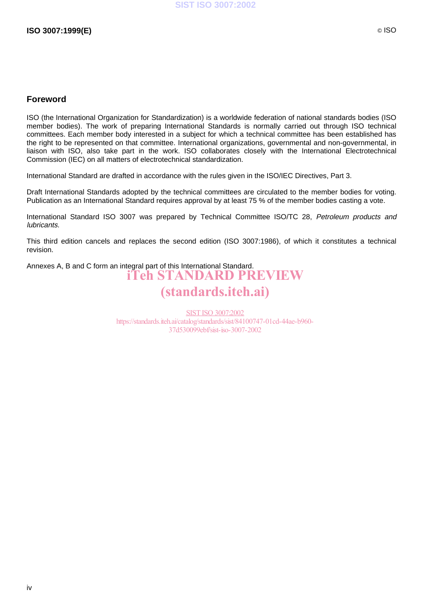# **Foreword**

ISO (the International Organization for Standardization) is a worldwide federation of national standards bodies (ISO member bodies). The work of preparing International Standards is normally carried out through ISO technical committees. Each member body interested in a subject for which a technical committee has been established has the right to be represented on that committee. International organizations, governmental and non-governmental, in liaison with ISO, also take part in the work. ISO collaborates closely with the International Electrotechnical Commission (IEC) on all matters of electrotechnical standardization.

International Standard are drafted in accordance with the rules given in the ISO/IEC Directives, Part 3.

Draft International Standards adopted by the technical committees are circulated to the member bodies for voting. Publication as an International Standard requires approval by at least 75 % of the member bodies casting a vote.

International Standard ISO 3007 was prepared by Technical Committee ISO/TC 28, Petroleum products and lubricants.

This third edition cancels and replaces the second edition (ISO 3007:1986), of which it constitutes a technical revision.

Annexes A, B and C form an integral part of this International Standard. iTeh STANDARD PREVIEW (standards.iteh.ai)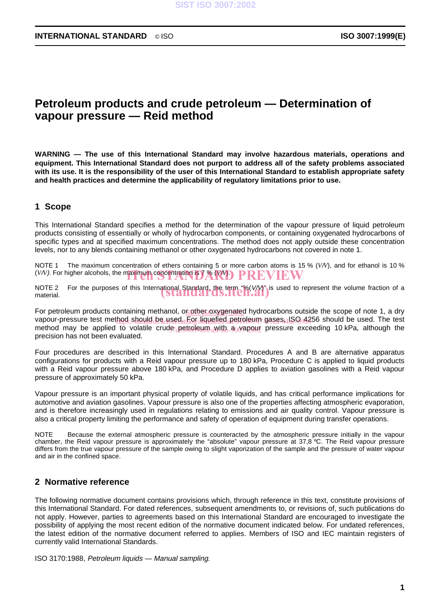# **Petroleum products and crude petroleum — Determination of vapour pressure — Reid method**

**WARNING — The use of this International Standard may involve hazardous materials, operations and equipment. This International Standard does not purport to address all of the safety problems associated with its use. It is the responsibility of the user of this International Standard to establish appropriate safety and health practices and determine the applicability of regulatory limitations prior to use.**

# **1 Scope**

This International Standard specifies a method for the determination of the vapour pressure of liquid petroleum products consisting of essentially or wholly of hydrocarbon components, or containing oxygenated hydrocarbons of specific types and at specified maximum concentrations. The method does not apply outside these concentration levels, nor to any blends containing methanol or other oxygenated hydrocarbons not covered in note 1.

NOTE 1 The maximum concentration of ethers containing 5 or more carbon atoms is 15 % (*V*/*V*), and for ethanol is 10 % (*V/V*). For higher alcohols, the maximum concentration is  $\widetilde{Y}$  ( $\widetilde{X}$   $\widetilde{Y}$   $\widetilde{Y}$   $\widetilde{Y}$   $\widetilde{Y}$   $\widetilde{Y}$   $\widetilde{Y}$   $\widetilde{Y}$   $\widetilde{Y}$   $\widetilde{Y}$   $\widetilde{Y}$   $\widetilde{Y}$   $\widetilde{Y}$   $\widetilde{Y}$   $\widetilde{Y}$ 

NOTE 2 For the purposes of this International Standard, the term "%(V/V") is used to represent the volume fraction of a<br>material. material.

For petroleum products containing methanol, or other oxygenated hydrocarbons outside the scope of note 1, a dry vapour-pressure test method should be used. For liquefied petroleum gases 1, SQ 4256 should be used. The test method may be applied to volatile crude<sub>/ </sub>petroleum with a vapour pressure exceeding 10 kPa, although the precision has not been evaluated.

Four procedures are described in this International Standard. Procedures A and B are alternative apparatus configurations for products with a Reid vapour pressure up to 180 kPa, Procedure C is applied to liquid products with a Reid vapour pressure above 180 kPa, and Procedure D applies to aviation gasolines with a Reid vapour pressure of approximately 50 kPa.

Vapour pressure is an important physical property of volatile liquids, and has critical performance implications for automotive and aviation gasolines. Vapour pressure is also one of the properties affecting atmospheric evaporation, and is therefore increasingly used in regulations relating to emissions and air quality control. Vapour pressure is also a critical property limiting the performance and safety of operation of equipment during transfer operations.

NOTE Because the external atmospheric pressure is counteracted by the atmospheric pressure initially in the vapour chamber, the Reid vapour pressure is approximately the "absolute" vapour pressure at 37,8 °C. The Reid vapour pressure differs from the true vapour pressure of the sample owing to slight vaporization of the sample and the pressure of water vapour and air in the confined space.

# **2 Normative reference**

The following normative document contains provisions which, through reference in this text, constitute provisions of this International Standard. For dated references, subsequent amendments to, or revisions of, such publications do not apply. However, parties to agreements based on this International Standard are encouraged to investigate the possibility of applying the most recent edition of the normative document indicated below. For undated references, the latest edition of the normative document referred to applies. Members of ISO and IEC maintain registers of currently valid International Standards.

ISO 3170:1988, Petroleum liquids — Manual sampling.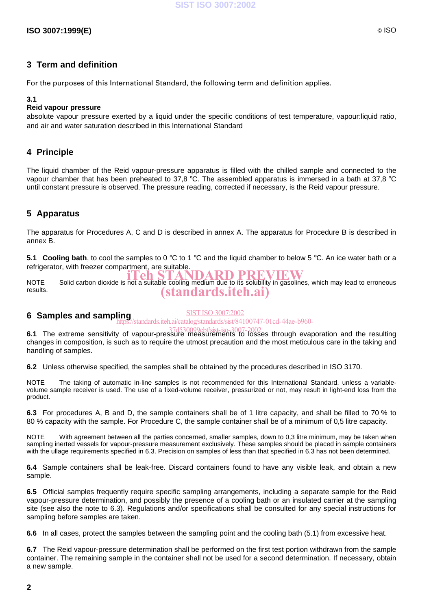# **3 Term and definition**

For the purposes of this International Standard, the following term and definition applies.

### **3.1**

# **Reid vapour pressure**

absolute vapour pressure exerted by a liquid under the specific conditions of test temperature, vapour:liquid ratio, and air and water saturation described in this International Standard

# **4 Principle**

The liquid chamber of the Reid vapour-pressure apparatus is filled with the chilled sample and connected to the vapour chamber that has been preheated to 37,8 °C. The assembled apparatus is immersed in a bath at 37,8 °C until constant pressure is observed. The pressure reading, corrected if necessary, is the Reid vapour pressure.

# **5 Apparatus**

The apparatus for Procedures A, C and D is described in annex A. The apparatus for Procedure B is described in annex B.

**5.1 Cooling bath**, to cool the samples to 0 °C to 1 °C and the liquid chamber to below 5 °C. An ice water bath or a refrigerator, with freezer compartment, are suitable.

NOTE Solid carbon dioxide is not a suitable cooling medium due to its solubility in gasolines, which may lead to erroneous results. (standards.iteh.ai)

#### **6 Samples and sampling** SIST ISO 3007:2002 https://standards.iteh.ai/catalog/standards/sist/84100747-01cd-44ae-b960-

**6.1** The extreme sensitivity of vapour-pressure measurements to losses through evaporation and the resulting 37d530099ebf/sist-iso-3007-2002

changes in composition, is such as to require the utmost precaution and the most meticulous care in the taking and handling of samples.

**6.2** Unless otherwise specified, the samples shall be obtained by the procedures described in ISO 3170.

NOTE The taking of automatic in-line samples is not recommended for this International Standard, unless a variablevolume sample receiver is used. The use of a fixed-volume receiver, pressurized or not, may result in light-end loss from the product.

**6.3** For procedures A, B and D, the sample containers shall be of 1 litre capacity, and shall be filled to 70 % to 80 % capacity with the sample. For Procedure C, the sample container shall be of a minimum of 0,5 litre capacity.

NOTE With agreement between all the parties concerned, smaller samples, down to 0,3 litre minimum, may be taken when sampling inerted vessels for vapour-pressure measurement exclusively. These samples should be placed in sample containers with the ullage requirements specified in 6.3. Precision on samples of less than that specified in 6.3 has not been determined.

**6.4** Sample containers shall be leak-free. Discard containers found to have any visible leak, and obtain a new sample.

**6.5** Official samples frequently require specific sampling arrangements, including a separate sample for the Reid vapour-pressure determination, and possibly the presence of a cooling bath or an insulated carrier at the sampling site (see also the note to 6.3). Regulations and/or specifications shall be consulted for any special instructions for sampling before samples are taken.

**6.6** In all cases, protect the samples between the sampling point and the cooling bath (5.1) from excessive heat.

**6.7** The Reid vapour-pressure determination shall be performed on the first test portion withdrawn from the sample container. The remaining sample in the container shall not be used for a second determination. If necessary, obtain a new sample.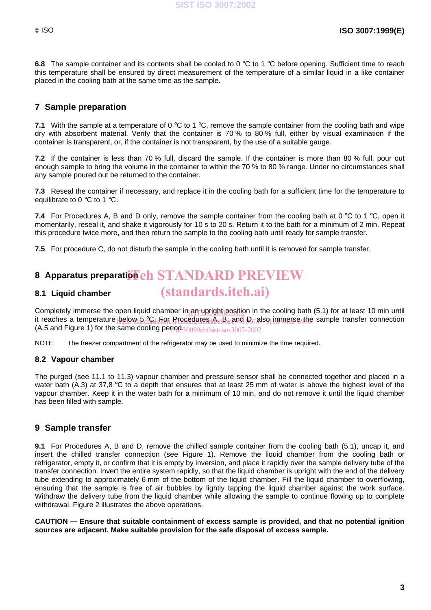**6.8** The sample container and its contents shall be cooled to 0 °C to 1 °C before opening. Sufficient time to reach this temperature shall be ensured by direct measurement of the temperature of a similar liquid in a like container placed in the cooling bath at the same time as the sample.

# **7 Sample preparation**

**7.1** With the sample at a temperature of 0 °C to 1 °C, remove the sample container from the cooling bath and wipe dry with absorbent material. Verify that the container is 70 % to 80 % full, either by visual examination if the container is transparent, or, if the container is not transparent, by the use of a suitable gauge.

**7.2** If the container is less than 70 % full, discard the sample. If the container is more than 80 % full, pour out enough sample to bring the volume in the container to within the 70 % to 80 % range. Under no circumstances shall any sample poured out be returned to the container.

**7.3** Reseal the container if necessary, and replace it in the cooling bath for a sufficient time for the temperature to equilibrate to 0 °C to 1 °C.

**7.4** For Procedures A, B and D only, remove the sample container from the cooling bath at 0 °C to 1 °C, open it momentarily, reseal it, and shake it vigorously for 10 s to 20 s. Return it to the bath for a minimum of 2 min. Repeat this procedure twice more, and then return the sample to the cooling bath until ready for sample transfer.

**7.5** For procedure C, do not disturb the sample in the cooling bath until it is removed for sample transfer.

# 8 Apparatus preparati<mark>on eh STANDARD PREVIEW</mark>

### **8.1 Liquid chamber**

Completely immerse the open liquid chamber in an upright position in the cooling bath (5.1) for at least 10 min until it reaches a temperature below a CC<sub>us</sub>Fier Procedures A, B, and D74lso immerse the sample transfer connection (A.5 and Figure 1) for the same cooling period.  $30099$ ebf/sist-iso-3007-2002

(standards.iteh.ai)

NOTE The freezer compartment of the refrigerator may be used to minimize the time required.

### **8.2 Vapour chamber**

The purged (see 11.1 to 11.3) vapour chamber and pressure sensor shall be connected together and placed in a water bath (A.3) at 37.8 °C to a depth that ensures that at least 25 mm of water is above the highest level of the vapour chamber. Keep it in the water bath for a minimum of 10 min, and do not remove it until the liquid chamber has been filled with sample.

# **9 Sample transfer**

**9.1** For Procedures A, B and D, remove the chilled sample container from the cooling bath (5.1), uncap it, and insert the chilled transfer connection (see Figure 1). Remove the liquid chamber from the cooling bath or refrigerator, empty it, or confirm that it is empty by inversion, and place it rapidly over the sample delivery tube of the transfer connection. Invert the entire system rapidly, so that the liquid chamber is upright with the end of the delivery tube extending to approximately 6 mm of the bottom of the liquid chamber. Fill the liquid chamber to overflowing, ensuring that the sample is free of air bubbles by lightly tapping the liquid chamber against the work surface. Withdraw the delivery tube from the liquid chamber while allowing the sample to continue flowing up to complete withdrawal. Figure 2 illustrates the above operations.

**CAUTION — Ensure that suitable containment of excess sample is provided, and that no potential ignition sources are adjacent. Make suitable provision for the safe disposal of excess sample.**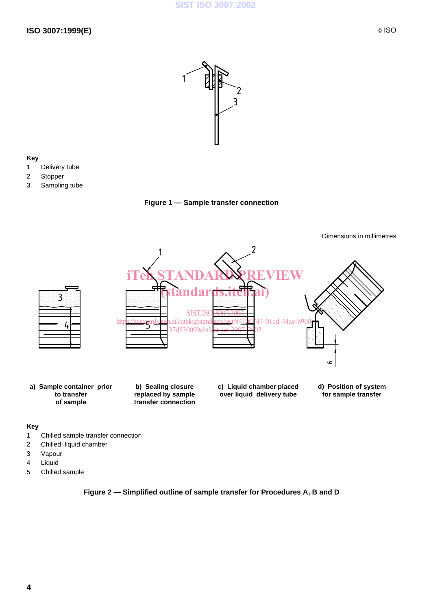

### **Key**

- 1 Delivery tube
- 2 Stopper
- 3 Sampling tube

**Figure 1 — Sample transfer connection**



#### **Key**

- 1 Chilled sample transfer connection
- 2 Chilled liquid chamber
- 3 Vapour
- 4 Liquid
- 5 Chilled sample

# **Figure 2 — Simplified outline of sample transfer for Procedures A, B and D**